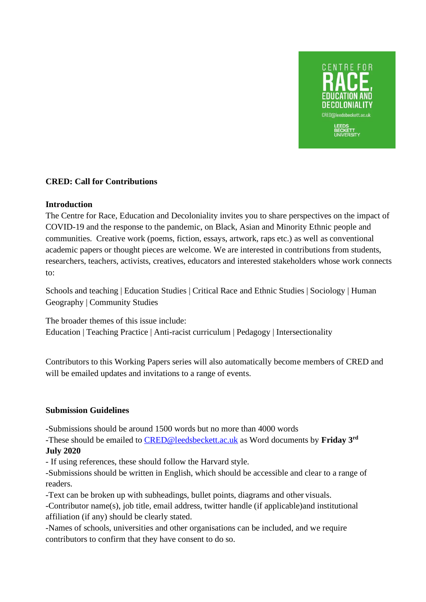

## **CRED: Call for Contributions**

## **Introduction**

The Centre for Race, Education and Decoloniality invites you to share perspectives on the impact of COVID-19 and the response to the pandemic, on Black, Asian and Minority Ethnic people and communities. Creative work (poems, fiction, essays, artwork, raps etc.) as well as conventional academic papers or thought pieces are welcome. We are interested in contributions from students, researchers, teachers, activists, creatives, educators and interested stakeholders whose work connects to:

Schools and teaching | Education Studies | Critical Race and Ethnic Studies | Sociology | Human Geography | Community Studies

The broader themes of this issue include: Education | Teaching Practice | Anti-racist curriculum | Pedagogy | Intersectionality

Contributors to this Working Papers series will also automatically become members of CRED and will be emailed updates and invitations to a range of events.

## **Submission Guidelines**

-Submissions should be around 1500 words but no more than 4000 words

-These should be emailed to [CRED@leedsbeckett.ac.uk](mailto:CRED@leedsbeckett.ac.uk) as Word documents by **Friday 3rd July 2020**

- If using references, these should follow the Harvard style.

-Submissions should be written in English, which should be accessible and clear to a range of readers.

-Text can be broken up with subheadings, bullet points, diagrams and other visuals.

-Contributor name(s), job title, email address, twitter handle (if applicable)and institutional affiliation (if any) should be clearly stated.

-Names of schools, universities and other organisations can be included, and we require contributors to confirm that they have consent to do so.